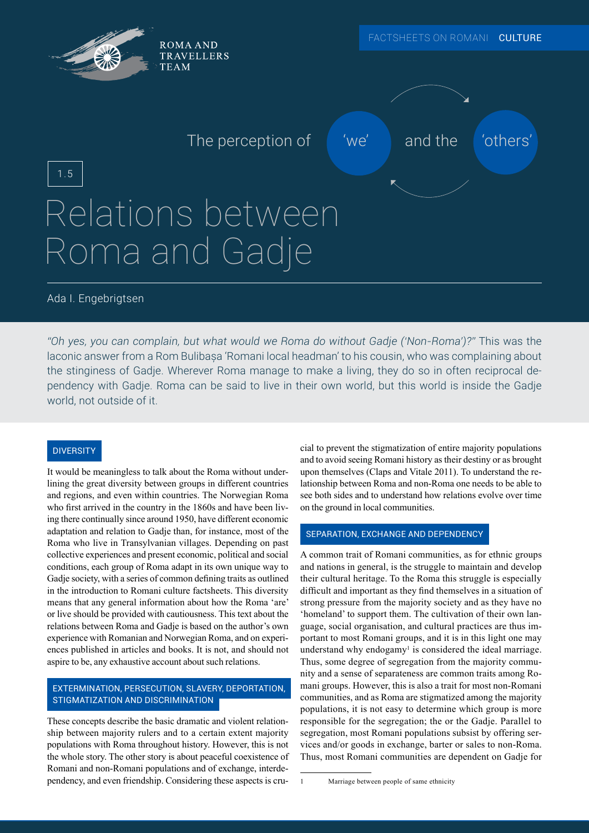

# Ada I. Engebrigtsen

*"Oh yes, you can complain, but what would we Roma do without Gadje ('Non-Roma')?"* This was the laconic answer from a Rom Bulibașa 'Romani local headman' to his cousin, who was complaining about the stinginess of Gadje. Wherever Roma manage to make a living, they do so in often reciprocal dependency with Gadje. Roma can be said to live in their own world, but this world is inside the Gadje world, not outside of it.

# **DIVERSITY**

It would be meaningless to talk about the Roma without underlining the great diversity between groups in different countries and regions, and even within countries. The Norwegian Roma who first arrived in the country in the 1860s and have been living there continually since around 1950, have different economic adaptation and relation to Gadje than, for instance, most of the Roma who live in Transylvanian villages. Depending on past collective experiences and present economic, political and social conditions, each group of Roma adapt in its own unique way to Gadje society, with a series of common defining traits as outlined in the introduction to Romani culture factsheets. This diversity means that any general information about how the Roma 'are' or live should be provided with cautiousness. This text about the relations between Roma and Gadje is based on the author's own experience with Romanian and Norwegian Roma, and on experiences published in articles and books. It is not, and should not aspire to be, any exhaustive account about such relations.

# EXTERMINATION, PERSECUTION, SLAVERY, DEPORTATION, STIGMATIZATION AND DISCRIMINATION

These concepts describe the basic dramatic and violent relationship between majority rulers and to a certain extent majority populations with Roma throughout history. However, this is not the whole story. The other story is about peaceful coexistence of Romani and non-Romani populations and of exchange, interdependency, and even friendship. Considering these aspects is crucial to prevent the stigmatization of entire majority populations and to avoid seeing Romani history as their destiny or as brought upon themselves (Claps and Vitale 2011). To understand the relationship between Roma and non-Roma one needs to be able to see both sides and to understand how relations evolve over time on the ground in local communities.

#### SEPARATION, EXCHANGE AND DEPENDENCY

A common trait of Romani communities, as for ethnic groups and nations in general, is the struggle to maintain and develop their cultural heritage. To the Roma this struggle is especially difficult and important as they find themselves in a situation of strong pressure from the majority society and as they have no 'homeland' to support them. The cultivation of their own language, social organisation, and cultural practices are thus important to most Romani groups, and it is in this light one may understand why endogamy<sup> $1$ </sup> is considered the ideal marriage. Thus, some degree of segregation from the majority community and a sense of separateness are common traits among Romani groups. However, this is also a trait for most non-Romani communities, and as Roma are stigmatized among the majority populations, it is not easy to determine which group is more responsible for the segregation; the or the Gadje. Parallel to segregation, most Romani populations subsist by offering services and/or goods in exchange, barter or sales to non-Roma. Thus, most Romani communities are dependent on Gadje for

<sup>1</sup> Marriage between people of same ethnicity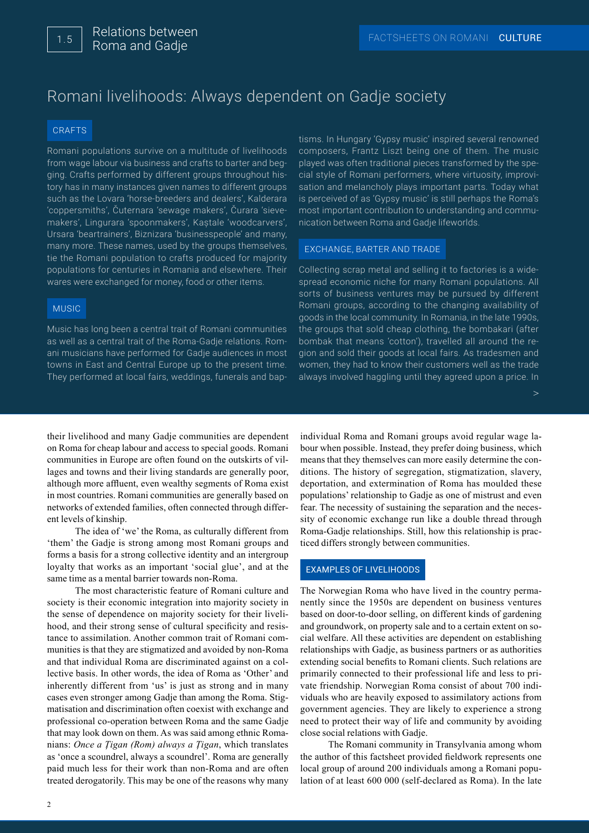# Romani livelihoods: Always dependent on Gadje society

#### **CRAFTS**

Romani populations survive on a multitude of livelihoods from wage labour via business and crafts to barter and begging. Crafts performed by different groups throughout history has in many instances given names to different groups such as the Lovara 'horse-breeders and dealers', Kalderara 'coppersmiths', Čuternara 'sewage makers', Čurara 'sievemakers', Lingurara 'spoonmakers', Kaștale 'woodcarvers', Ursara 'beartrainers', Biznizara 'businesspeople' and many, many more. These names, used by the groups themselves, tie the Romani population to crafts produced for majority populations for centuries in Romania and elsewhere. Their wares were exchanged for money, food or other items.

## MUSIC

Music has long been a central trait of Romani communities as well as a central trait of the Roma-Gadje relations. Romani musicians have performed for Gadje audiences in most towns in East and Central Europe up to the present time. They performed at local fairs, weddings, funerals and baptisms. In Hungary 'Gypsy music' inspired several renowned composers, Frantz Liszt being one of them. The music played was often traditional pieces transformed by the special style of Romani performers, where virtuosity, improvisation and melancholy plays important parts. Today what is perceived of as 'Gypsy music' is still perhaps the Roma's most important contribution to understanding and communication between Roma and Gadje lifeworlds.

#### EXCHANGE, BARTER AND TRADE

Collecting scrap metal and selling it to factories is a widespread economic niche for many Romani populations. All sorts of business ventures may be pursued by different Romani groups, according to the changing availability of goods in the local community. In Romania, in the late 1990s, the groups that sold cheap clothing, the bombakari (after bombak that means 'cotton'), travelled all around the region and sold their goods at local fairs. As tradesmen and women, they had to know their customers well as the trade always involved haggling until they agreed upon a price. In

their livelihood and many Gadje communities are dependent on Roma for cheap labour and access to special goods. Romani communities in Europe are often found on the outskirts of villages and towns and their living standards are generally poor, although more affluent, even wealthy segments of Roma exist in most countries. Romani communities are generally based on networks of extended families, often connected through different levels of kinship.

The idea of 'we' the Roma, as culturally different from 'them' the Gadje is strong among most Romani groups and forms a basis for a strong collective identity and an intergroup loyalty that works as an important 'social glue', and at the same time as a mental barrier towards non-Roma.

The most characteristic feature of Romani culture and society is their economic integration into majority society in the sense of dependence on majority society for their livelihood, and their strong sense of cultural specificity and resistance to assimilation. Another common trait of Romani communities is that they are stigmatized and avoided by non-Roma and that individual Roma are discriminated against on a collective basis. In other words, the idea of Roma as 'Other' and inherently different from 'us' is just as strong and in many cases even stronger among Gadje than among the Roma. Stigmatisation and discrimination often coexist with exchange and professional co-operation between Roma and the same Gadje that may look down on them. As was said among ethnic Romanians: *Once a Ţigan (Rom) always a Ţigan*, which translates as 'once a scoundrel, always a scoundrel'. Roma are generally paid much less for their work than non-Roma and are often treated derogatorily. This may be one of the reasons why many

individual Roma and Romani groups avoid regular wage labour when possible. Instead, they prefer doing business, which means that they themselves can more easily determine the conditions. The history of segregation, stigmatization, slavery, deportation, and extermination of Roma has moulded these populations' relationship to Gadje as one of mistrust and even fear. The necessity of sustaining the separation and the necessity of economic exchange run like a double thread through Roma-Gadje relationships. Still, how this relationship is practiced differs strongly between communities.

## EXAMPLES OF LIVELIHOODS

The Norwegian Roma who have lived in the country permanently since the 1950s are dependent on business ventures based on door-to-door selling, on different kinds of gardening and groundwork, on property sale and to a certain extent on social welfare. All these activities are dependent on establishing relationships with Gadje, as business partners or as authorities extending social benefits to Romani clients. Such relations are primarily connected to their professional life and less to private friendship. Norwegian Roma consist of about 700 individuals who are heavily exposed to assimilatory actions from government agencies. They are likely to experience a strong need to protect their way of life and community by avoiding close social relations with Gadje.

The Romani community in Transylvania among whom the author of this factsheet provided fieldwork represents one local group of around 200 individuals among a Romani population of at least 600 000 (self-declared as Roma). In the late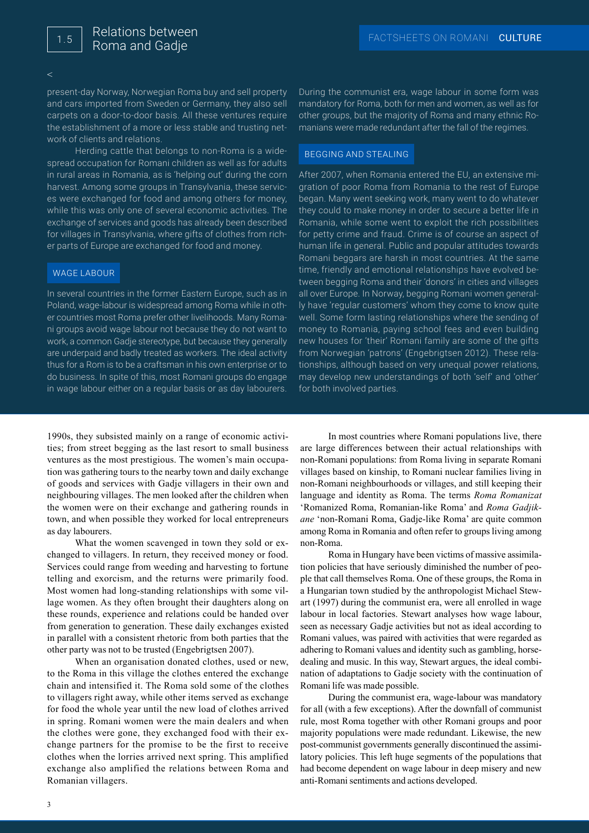$\leq$ 

present-day Norway, Norwegian Roma buy and sell property and cars imported from Sweden or Germany, they also sell carpets on a door-to-door basis. All these ventures require the establishment of a more or less stable and trusting network of clients and relations.

Herding cattle that belongs to non-Roma is a widespread occupation for Romani children as well as for adults in rural areas in Romania, as is 'helping out' during the corn harvest. Among some groups in Transylvania, these services were exchanged for food and among others for money, while this was only one of several economic activities. The exchange of services and goods has already been described for villages in Transylvania, where gifts of clothes from richer parts of Europe are exchanged for food and money.

#### WAGE LABOUR

In several countries in the former Eastern Europe, such as in Poland, wage-labour is widespread among Roma while in other countries most Roma prefer other livelihoods. Many Romani groups avoid wage labour not because they do not want to work, a common Gadje stereotype, but because they generally are underpaid and badly treated as workers. The ideal activity thus for a Rom is to be a craftsman in his own enterprise or to do business. In spite of this, most Romani groups do engage in wage labour either on a regular basis or as day labourers.

1990s, they subsisted mainly on a range of economic activities; from street begging as the last resort to small business ventures as the most prestigious. The women's main occupation was gathering tours to the nearby town and daily exchange of goods and services with Gadje villagers in their own and neighbouring villages. The men looked after the children when the women were on their exchange and gathering rounds in town, and when possible they worked for local entrepreneurs as day labourers.

What the women scavenged in town they sold or exchanged to villagers. In return, they received money or food. Services could range from weeding and harvesting to fortune telling and exorcism, and the returns were primarily food. Most women had long-standing relationships with some village women. As they often brought their daughters along on these rounds, experience and relations could be handed over from generation to generation. These daily exchanges existed in parallel with a consistent rhetoric from both parties that the other party was not to be trusted (Engebrigtsen 2007).

When an organisation donated clothes, used or new, to the Roma in this village the clothes entered the exchange chain and intensified it. The Roma sold some of the clothes to villagers right away, while other items served as exchange for food the whole year until the new load of clothes arrived in spring. Romani women were the main dealers and when the clothes were gone, they exchanged food with their exchange partners for the promise to be the first to receive clothes when the lorries arrived next spring. This amplified exchange also amplified the relations between Roma and Romanian villagers.

During the communist era, wage labour in some form was mandatory for Roma, both for men and women, as well as for other groups, but the majority of Roma and many ethnic Romanians were made redundant after the fall of the regimes.

#### BEGGING AND STEALING

After 2007, when Romania entered the EU, an extensive migration of poor Roma from Romania to the rest of Europe began. Many went seeking work, many went to do whatever they could to make money in order to secure a better life in Romania, while some went to exploit the rich possibilities for petty crime and fraud. Crime is of course an aspect of human life in general. Public and popular attitudes towards Romani beggars are harsh in most countries. At the same time, friendly and emotional relationships have evolved between begging Roma and their 'donors' in cities and villages all over Europe. In Norway, begging Romani women generally have 'regular customers' whom they come to know quite well. Some form lasting relationships where the sending of money to Romania, paying school fees and even building new houses for 'their' Romani family are some of the gifts from Norwegian 'patrons' (Engebrigtsen 2012). These relationships, although based on very unequal power relations, may develop new understandings of both 'self' and 'other' for both involved parties.

In most countries where Romani populations live, there are large differences between their actual relationships with non-Romani populations: from Roma living in separate Romani villages based on kinship, to Romani nuclear families living in non-Romani neighbourhoods or villages, and still keeping their language and identity as Roma. The terms *Roma Romanizat* 'Romanized Roma, Romanian-like Roma' and *Roma Gadjikane* 'non-Romani Roma, Gadje-like Roma' are quite common among Roma in Romania and often refer to groups living among non-Roma.

Roma in Hungary have been victims of massive assimilation policies that have seriously diminished the number of people that call themselves Roma. One of these groups, the Roma in a Hungarian town studied by the anthropologist Michael Stewart (1997) during the communist era, were all enrolled in wage labour in local factories. Stewart analyses how wage labour, seen as necessary Gadje activities but not as ideal according to Romani values, was paired with activities that were regarded as adhering to Romani values and identity such as gambling, horsedealing and music. In this way, Stewart argues, the ideal combination of adaptations to Gadje society with the continuation of Romani life was made possible.

During the communist era, wage-labour was mandatory for all (with a few exceptions). After the downfall of communist rule, most Roma together with other Romani groups and poor majority populations were made redundant. Likewise, the new post-communist governments generally discontinued the assimilatory policies. This left huge segments of the populations that had become dependent on wage labour in deep misery and new anti-Romani sentiments and actions developed.